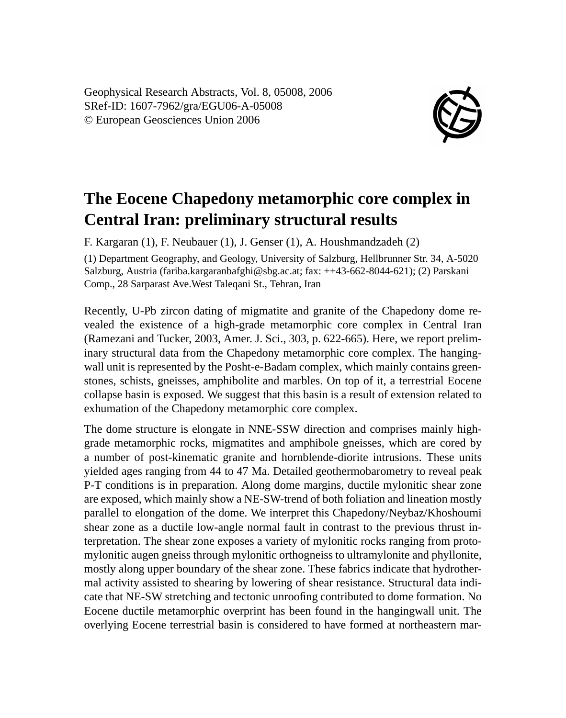Geophysical Research Abstracts, Vol. 8, 05008, 2006 SRef-ID: 1607-7962/gra/EGU06-A-05008 © European Geosciences Union 2006



## **The Eocene Chapedony metamorphic core complex in Central Iran: preliminary structural results**

F. Kargaran (1), F. Neubauer (1), J. Genser (1), A. Houshmandzadeh (2)

(1) Department Geography, and Geology, University of Salzburg, Hellbrunner Str. 34, A-5020 Salzburg, Austria (fariba.kargaranbafghi@sbg.ac.at; fax: ++43-662-8044-621); (2) Parskani Comp., 28 Sarparast Ave.West Taleqani St., Tehran, Iran

Recently, U-Pb zircon dating of migmatite and granite of the Chapedony dome revealed the existence of a high-grade metamorphic core complex in Central Iran (Ramezani and Tucker, 2003, Amer. J. Sci., 303, p. 622-665). Here, we report preliminary structural data from the Chapedony metamorphic core complex. The hangingwall unit is represented by the Posht-e-Badam complex, which mainly contains greenstones, schists, gneisses, amphibolite and marbles. On top of it, a terrestrial Eocene collapse basin is exposed. We suggest that this basin is a result of extension related to exhumation of the Chapedony metamorphic core complex.

The dome structure is elongate in NNE-SSW direction and comprises mainly highgrade metamorphic rocks, migmatites and amphibole gneisses, which are cored by a number of post-kinematic granite and hornblende-diorite intrusions. These units yielded ages ranging from 44 to 47 Ma. Detailed geothermobarometry to reveal peak P-T conditions is in preparation. Along dome margins, ductile mylonitic shear zone are exposed, which mainly show a NE-SW-trend of both foliation and lineation mostly parallel to elongation of the dome. We interpret this Chapedony/Neybaz/Khoshoumi shear zone as a ductile low-angle normal fault in contrast to the previous thrust interpretation. The shear zone exposes a variety of mylonitic rocks ranging from protomylonitic augen gneiss through mylonitic orthogneiss to ultramylonite and phyllonite, mostly along upper boundary of the shear zone. These fabrics indicate that hydrothermal activity assisted to shearing by lowering of shear resistance. Structural data indicate that NE-SW stretching and tectonic unroofing contributed to dome formation. No Eocene ductile metamorphic overprint has been found in the hangingwall unit. The overlying Eocene terrestrial basin is considered to have formed at northeastern mar-